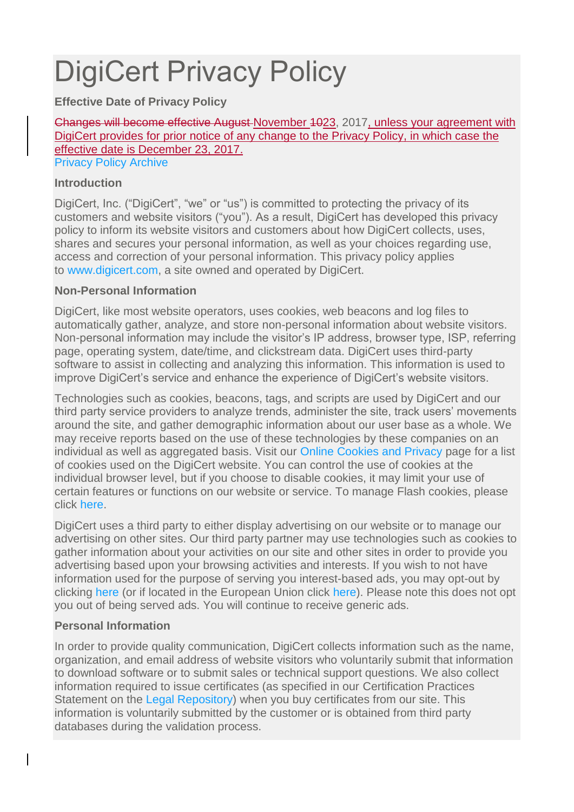# DigiCert Privacy Policy

**Effective Date of Privacy Policy**

Changes will become effective August November 1023, 2017, unless your agreement with DigiCert provides for prior notice of any change to the Privacy Policy, in which case the effective date is December 23, 2017.

[Privacy Policy Archive](https://www.digicert.com/legal-repository/#PrivacyPolicyArchive)

#### **Introduction**

DigiCert, Inc. ("DigiCert", "we" or "us") is committed to protecting the privacy of its customers and website visitors ("you"). As a result, DigiCert has developed this privacy policy to inform its website visitors and customers about how DigiCert collects, uses, shares and secures your personal information, as well as your choices regarding use, access and correction of your personal information. This privacy policy applies to [www.digicert.com,](https://www.digicert.com/) a site owned and operated by DigiCert.

#### **Non-Personal Information**

DigiCert, like most website operators, uses cookies, web beacons and log files to automatically gather, analyze, and store non-personal information about website visitors. Non-personal information may include the visitor's IP address, browser type, ISP, referring page, operating system, date/time, and clickstream data. DigiCert uses third-party software to assist in collecting and analyzing this information. This information is used to improve DigiCert's service and enhance the experience of DigiCert's website visitors.

Technologies such as cookies, beacons, tags, and scripts are used by DigiCert and our third party service providers to analyze trends, administer the site, track users' movements around the site, and gather demographic information about our user base as a whole. We may receive reports based on the use of these technologies by these companies on an individual as well as aggregated basis. Visit our [Online Cookies](https://www.digicert.com/online-cookies-privacy/) and Privacy page for a list of cookies used on the DigiCert website. You can control the use of cookies at the individual browser level, but if you choose to disable cookies, it may limit your use of certain features or functions on our website or service. To manage Flash cookies, please click [here.](http://www.macromedia.com/support/documentation/en/flashplayer/help/settings_manager07.html)

DigiCert uses a third party to either display advertising on our website or to manage our advertising on other sites. Our third party partner may use technologies such as cookies to gather information about your activities on our site and other sites in order to provide you advertising based upon your browsing activities and interests. If you wish to not have information used for the purpose of serving you interest-based ads, you may opt-out by clicking [here](http://preferences-mgr.truste.com/) (or if located in the European Union click [here\)](http://www.youronlinechoices.eu/). Please note this does not opt you out of being served ads. You will continue to receive generic ads.

#### **Personal Information**

In order to provide quality communication, DigiCert collects information such as the name, organization, and email address of website visitors who voluntarily submit that information to download software or to submit sales or technical support questions. We also collect information required to issue certificates (as specified in our Certification Practices Statement on the [Legal Repository\)](https://www.digicert.com/legal-repository/) when you buy certificates from our site. This information is voluntarily submitted by the customer or is obtained from third party databases during the validation process.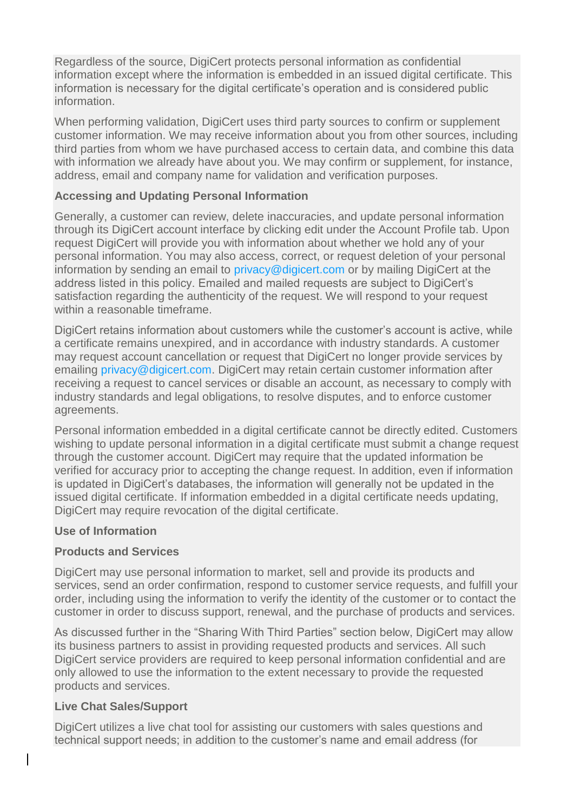Regardless of the source, DigiCert protects personal information as confidential information except where the information is embedded in an issued digital certificate. This information is necessary for the digital certificate's operation and is considered public information.

When performing validation, DigiCert uses third party sources to confirm or supplement customer information. We may receive information about you from other sources, including third parties from whom we have purchased access to certain data, and combine this data with information we already have about you. We may confirm or supplement, for instance, address, email and company name for validation and verification purposes.

#### **Accessing and Updating Personal Information**

Generally, a customer can review, delete inaccuracies, and update personal information through its DigiCert account interface by clicking edit under the Account Profile tab. Upon request DigiCert will provide you with information about whether we hold any of your personal information. You may also access, correct, or request deletion of your personal information by sending an email to [privacy@digicert.com](mailto:privacy@digicert.com) or by mailing DigiCert at the address listed in this policy. Emailed and mailed requests are subject to DigiCert's satisfaction regarding the authenticity of the request. We will respond to your request within a reasonable timeframe.

DigiCert retains information about customers while the customer's account is active, while a certificate remains unexpired, and in accordance with industry standards. A customer may request account cancellation or request that DigiCert no longer provide services by emailing [privacy@digicert.com.](mailto:privacy@digicert.com) DigiCert may retain certain customer information after receiving a request to cancel services or disable an account, as necessary to comply with industry standards and legal obligations, to resolve disputes, and to enforce customer agreements.

Personal information embedded in a digital certificate cannot be directly edited. Customers wishing to update personal information in a digital certificate must submit a change request through the customer account. DigiCert may require that the updated information be verified for accuracy prior to accepting the change request. In addition, even if information is updated in DigiCert's databases, the information will generally not be updated in the issued digital certificate. If information embedded in a digital certificate needs updating, DigiCert may require revocation of the digital certificate.

#### **Use of Information**

#### **Products and Services**

DigiCert may use personal information to market, sell and provide its products and services, send an order confirmation, respond to customer service requests, and fulfill your order, including using the information to verify the identity of the customer or to contact the customer in order to discuss support, renewal, and the purchase of products and services.

As discussed further in the "Sharing With Third Parties" section below, DigiCert may allow its business partners to assist in providing requested products and services. All such DigiCert service providers are required to keep personal information confidential and are only allowed to use the information to the extent necessary to provide the requested products and services.

#### **Live Chat Sales/Support**

DigiCert utilizes a live chat tool for assisting our customers with sales questions and technical support needs; in addition to the customer's name and email address (for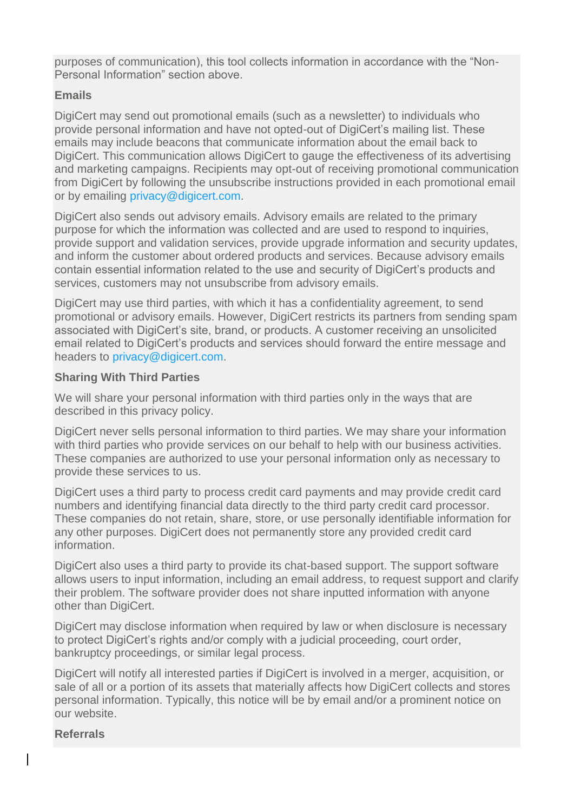purposes of communication), this tool collects information in accordance with the "Non-Personal Information" section above.

#### **Emails**

DigiCert may send out promotional emails (such as a newsletter) to individuals who provide personal information and have not opted-out of DigiCert's mailing list. These emails may include beacons that communicate information about the email back to DigiCert. This communication allows DigiCert to gauge the effectiveness of its advertising and marketing campaigns. Recipients may opt-out of receiving promotional communication from DigiCert by following the unsubscribe instructions provided in each promotional email or by emailing [privacy@digicert.com.](mailto:privacy@digicert.com)

DigiCert also sends out advisory emails. Advisory emails are related to the primary purpose for which the information was collected and are used to respond to inquiries, provide support and validation services, provide upgrade information and security updates, and inform the customer about ordered products and services. Because advisory emails contain essential information related to the use and security of DigiCert's products and services, customers may not unsubscribe from advisory emails.

DigiCert may use third parties, with which it has a confidentiality agreement, to send promotional or advisory emails. However, DigiCert restricts its partners from sending spam associated with DigiCert's site, brand, or products. A customer receiving an unsolicited email related to DigiCert's products and services should forward the entire message and headers to [privacy@digicert.com.](mailto:privacy@digicert.com)

#### **Sharing With Third Parties**

We will share your personal information with third parties only in the ways that are described in this privacy policy.

DigiCert never sells personal information to third parties. We may share your information with third parties who provide services on our behalf to help with our business activities. These companies are authorized to use your personal information only as necessary to provide these services to us.

DigiCert uses a third party to process credit card payments and may provide credit card numbers and identifying financial data directly to the third party credit card processor. These companies do not retain, share, store, or use personally identifiable information for any other purposes. DigiCert does not permanently store any provided credit card information.

DigiCert also uses a third party to provide its chat-based support. The support software allows users to input information, including an email address, to request support and clarify their problem. The software provider does not share inputted information with anyone other than DigiCert.

DigiCert may disclose information when required by law or when disclosure is necessary to protect DigiCert's rights and/or comply with a judicial proceeding, court order, bankruptcy proceedings, or similar legal process.

DigiCert will notify all interested parties if DigiCert is involved in a merger, acquisition, or sale of all or a portion of its assets that materially affects how DigiCert collects and stores personal information. Typically, this notice will be by email and/or a prominent notice on our website.

#### **Referrals**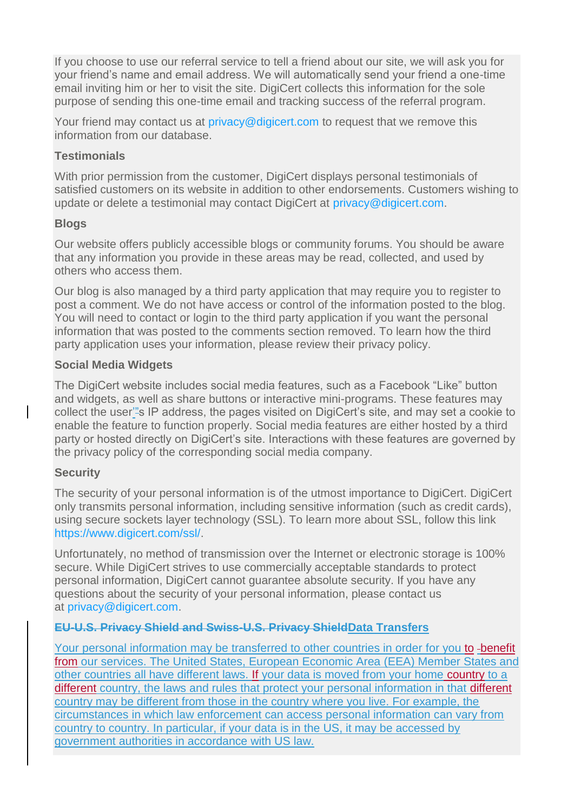If you choose to use our referral service to tell a friend about our site, we will ask you for your friend's name and email address. We will automatically send your friend a one-time email inviting him or her to visit the site. DigiCert collects this information for the sole purpose of sending this one-time email and tracking success of the referral program.

Your friend may contact us at [privacy@digicert.com](mailto:privacy@digicert.com) to request that we remove this information from our database.

#### **Testimonials**

With prior permission from the customer, DigiCert displays personal testimonials of satisfied customers on its website in addition to other endorsements. Customers wishing to update or delete a testimonial may contact DigiCert at [privacy@digicert.com.](mailto:privacy@digicert.com)

#### **Blogs**

Our website offers publicly accessible blogs or community forums. You should be aware that any information you provide in these areas may be read, collected, and used by others who access them.

Our blog is also managed by a third party application that may require you to register to post a comment. We do not have access or control of the information posted to the blog. You will need to contact or login to the third party application if you want the personal information that was posted to the comments section removed. To learn how the third party application uses your information, please review their privacy policy.

#### **Social Media Widgets**

The DigiCert website includes social media features, such as a Facebook "Like" button and widgets, as well as share buttons or interactive mini-programs. These features may collect the user'"s IP address, the pages visited on DigiCert's site, and may set a cookie to enable the feature to function properly. Social media features are either hosted by a third party or hosted directly on DigiCert's site. Interactions with these features are governed by the privacy policy of the corresponding social media company.

## **Security**

The security of your personal information is of the utmost importance to DigiCert. DigiCert only transmits personal information, including sensitive information (such as credit cards), using secure sockets layer technology (SSL). To learn more about SSL, follow this link [https://www.digicert.com/ssl/.](https://www.digicert.com/ssl/)

Unfortunately, no method of transmission over the Internet or electronic storage is 100% secure. While DigiCert strives to use commercially acceptable standards to protect personal information, DigiCert cannot guarantee absolute security. If you have any questions about the security of your personal information, please contact us at [privacy@digicert.com.](mailto:privacy@digicert.com)

## **EU-U.S. Privacy Shield and Swiss-U.S. Privacy ShieldData Transfers**

Your personal information may be transferred to other countries in order for you to -benefit from our services. The United States, European Economic Area (EEA) Member States and other countries all have different laws. If your data is moved from your home country to a different country, the laws and rules that protect your personal information in that different country may be different from those in the country where you live. For example, the circumstances in which law enforcement can access personal information can vary from country to country. In particular, if your data is in the US, it may be accessed by government authorities in accordance with US law.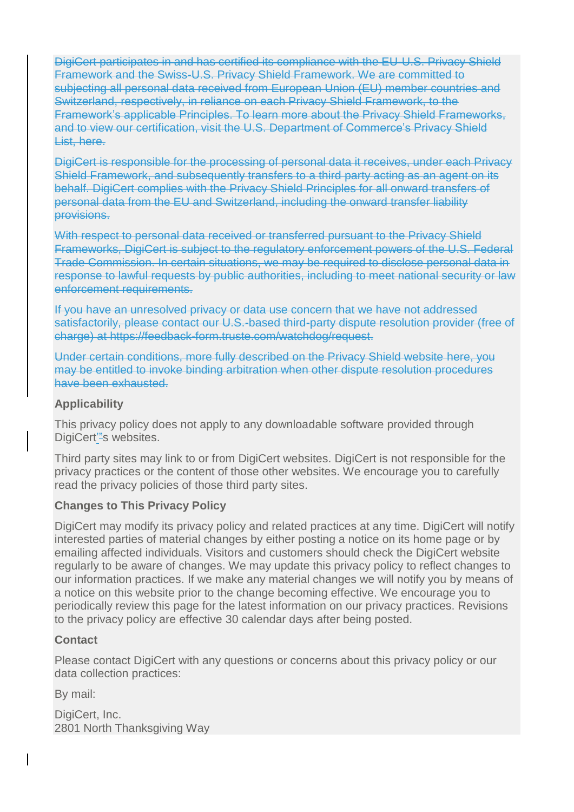DigiCert participates in and has certified its compliance with the EU-U.S. Privacy Shield Framework and the Swiss-U.S. Privacy Shield Framework. We are committed to subjecting all personal data received from European Union (EU) member countries and Switzerland, respectively, in reliance on each Privacy Shield Framework, to the Framework's applicable Principles. To learn more about the Privacy Shield Frameworks, and to view our certification, visit the U.S. Department of Commerce's Privacy Shield List, here.

DigiCert is responsible for the processing of personal data it receives, under each Privacy Shield Framework, and subsequently transfers to a third party acting as an agent on its behalf. DigiCert complies with the Privacy Shield Principles for all onward transfers of personal data from the EU and Switzerland, including the onward transfer liability provisions.

With respect to personal data received or transferred pursuant to the Privacy Shield Frameworks, DigiCert is subject to the regulatory enforcement powers of the U.S. Federal Trade Commission. In certain situations, we may be required to disclose personal data in response to lawful requests by public authorities, including to meet national security or law enforcement requirements.

If you have an unresolved privacy or data use concern that we have not addressed satisfactorily, please contact our U.S.-based third-party dispute resolution provider (free of charge) at https://feedback-form.truste.com/watchdog/request.

Under certain conditions, more fully described on the Privacy Shield website here, you may be entitled to invoke binding arbitration when other dispute resolution procedures have been exhausted.

#### **Applicability**

This privacy policy does not apply to any downloadable software provided through DigiCert"'s websites.

Third party sites may link to or from DigiCert websites. DigiCert is not responsible for the privacy practices or the content of those other websites. We encourage you to carefully read the privacy policies of those third party sites.

#### **Changes to This Privacy Policy**

DigiCert may modify its privacy policy and related practices at any time. DigiCert will notify interested parties of material changes by either posting a notice on its home page or by emailing affected individuals. Visitors and customers should check the DigiCert website regularly to be aware of changes. We may update this privacy policy to reflect changes to our information practices. If we make any material changes we will notify you by means of a notice on this website prior to the change becoming effective. We encourage you to periodically review this page for the latest information on our privacy practices. Revisions to the privacy policy are effective 30 calendar days after being posted.

#### **Contact**

Please contact DigiCert with any questions or concerns about this privacy policy or our data collection practices:

By mail:

DigiCert, Inc. 2801 North Thanksgiving Way